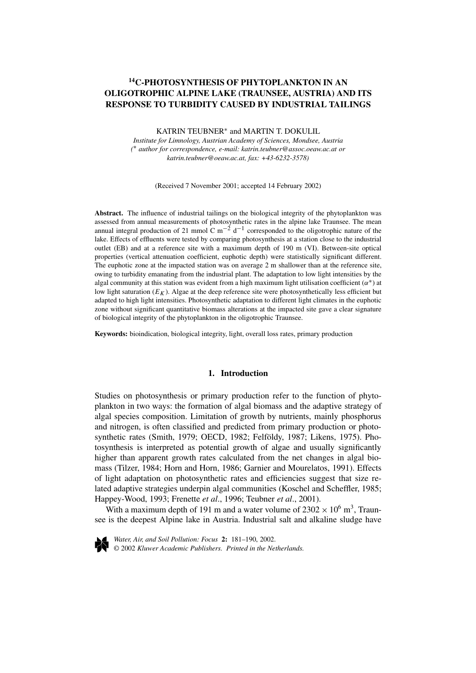# **14C-PHOTOSYNTHESIS OF PHYTOPLANKTON IN AN OLIGOTROPHIC ALPINE LAKE (TRAUNSEE, AUSTRIA) AND ITS RESPONSE TO TURBIDITY CAUSED BY INDUSTRIAL TAILINGS**

KATRIN TEUBNER∗ and MARTIN T. DOKULIL

*Institute for Limnology, Austrian Academy of Sciences, Mondsee, Austria (* ∗ *author for correspondence, e-mail: katrin.teubner@assoc.oeaw.ac.at or katrin.teubner@oeaw.ac.at, fax: +43-6232-3578)*

(Received 7 November 2001; accepted 14 February 2002)

**Abstract.** The influence of industrial tailings on the biological integrity of the phytoplankton was assessed from annual measurements of photosynthetic rates in the alpine lake Traunsee. The mean annual integral production of 21 mmol  $\text{C m}^{-2}$  d<sup>-1</sup> corresponded to the oligotrophic nature of the lake. Effects of effluents were tested by comparing photosynthesis at a station close to the industrial outlet (EB) and at a reference site with a maximum depth of 190 m (VI). Between-site optical properties (vertical attenuation coefficient, euphotic depth) were statistically significant different. The euphotic zone at the impacted station was on average 2 m shallower than at the reference site, owing to turbidity emanating from the industrial plant. The adaptation to low light intensities by the algal community at this station was evident from a high maximum light utilisation coefficient (*α*∗) at low light saturation  $(E_K)$ . Algae at the deep reference site were photosynthetically less efficient but adapted to high light intensities. Photosynthetic adaptation to different light climates in the euphotic zone without significant quantitative biomass alterations at the impacted site gave a clear signature of biological integrity of the phytoplankton in the oligotrophic Traunsee.

**Keywords:** bioindication, biological integrity, light, overall loss rates, primary production

## **1. Introduction**

Studies on photosynthesis or primary production refer to the function of phytoplankton in two ways: the formation of algal biomass and the adaptive strategy of algal species composition. Limitation of growth by nutrients, mainly phosphorus and nitrogen, is often classified and predicted from primary production or photosynthetic rates (Smith, 1979; OECD, 1982; Felföldy, 1987; Likens, 1975). Photosynthesis is interpreted as potential growth of algae and usually significantly higher than apparent growth rates calculated from the net changes in algal biomass (Tilzer, 1984; Horn and Horn, 1986; Garnier and Mourelatos, 1991). Effects of light adaptation on photosynthetic rates and efficiencies suggest that size related adaptive strategies underpin algal communities (Koschel and Scheffler, 1985; Happey-Wood, 1993; Frenette *et al*., 1996; Teubner *et al*., 2001).

With a maximum depth of 191 m and a water volume of  $2302 \times 10^6$  m<sup>3</sup>, Traunsee is the deepest Alpine lake in Austria. Industrial salt and alkaline sludge have



*Water, Air, and Soil Pollution: Focus* **2:** 181–190, 2002. © 2002 *Kluwer Academic Publishers. Printed in the Netherlands.*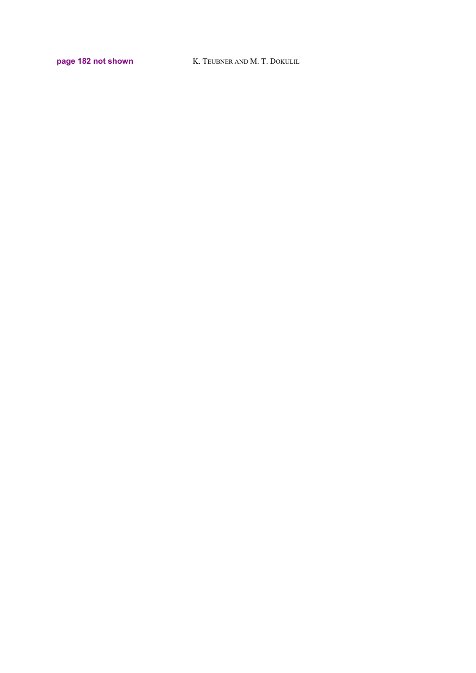**page 182 not shown** K. TEUBNER AND M. T. DOKULIL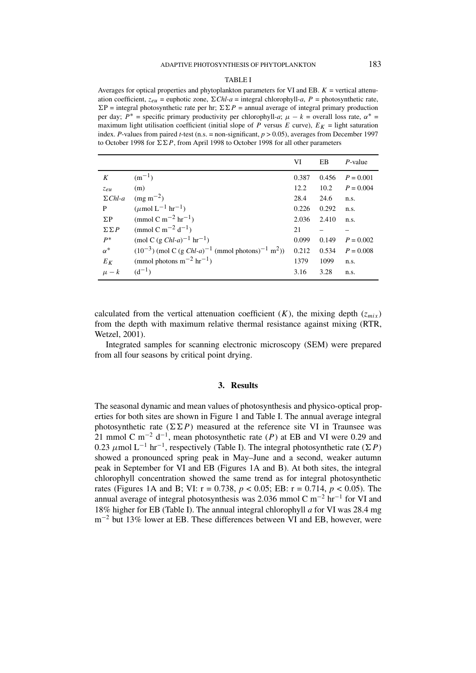#### TABLE I

Averages for optical properties and phytoplankton parameters for VI and EB.  $K =$  vertical attenuation coefficient,  $z_{eu}$  = euphotic zone,  $\Sigma Chl-a$  = integral chlorophyll-*a*, *P* = photosynthetic rate,  $\Sigma P$  = integral photosynthetic rate per hr;  $\Sigma \Sigma P$  = annual average of integral primary production per day;  $P^*$  = specific primary productivity per chlorophyll-*a*;  $\mu - k$  = overall loss rate,  $\alpha^*$  = maximum light utilisation coefficient (initial slope of *P* versus *E* curve),  $E_K =$  light saturation index. *P*-values from paired *t*-test (n.s. = non-significant, *p* > 0.05), averages from December 1997 to October 1998 for  $\Sigma \Sigma P$ , from April 1998 to October 1998 for all other parameters

|                   |                                                                                                   | VI    | EB    | P-value     |
|-------------------|---------------------------------------------------------------------------------------------------|-------|-------|-------------|
| K                 | $(m^{-1})$                                                                                        | 0.387 | 0.456 | $P = 0.001$ |
| $\mathcal{Z}$ eu  | (m)                                                                                               | 12.2  | 10.2  | $P = 0.004$ |
| $\Sigma Chl-a$    | $(mg m^{-2})$                                                                                     | 28.4  | 24.6  | n.s.        |
| P                 | $(\mu$ mol L <sup>-1</sup> hr <sup>-1</sup> )                                                     | 0.226 | 0.292 | n.s.        |
| $\Sigma P$        | (mmol C m <sup>-2</sup> hr <sup>-1</sup> )                                                        | 2.036 | 2.410 | n.s.        |
| $\Sigma \Sigma P$ | (mmol C m <sup>-2</sup> d <sup>-1</sup> )                                                         | 21    |       |             |
| $P^*$             | (mol C (g Chl-a) <sup>-1</sup> hr <sup>-1</sup> )                                                 | 0.099 | 0.149 | $P = 0.002$ |
| $\alpha^*$        | $(10^{-3})$ (mol C (g <i>Chl-a</i> ) <sup>-1</sup> (mmol photons) <sup>-1</sup> m <sup>2</sup> )) | 0.212 | 0.534 | $P = 0.008$ |
| $E_K$             | (mmol photons $m^{-2}$ hr <sup>-1</sup> )                                                         | 1379  | 1099  | n.s.        |
| $\mu - k$         | $(d^{-1})$                                                                                        | 3.16  | 3.28  | n.s.        |

calculated from the vertical attenuation coefficient  $(K)$ , the mixing depth  $(z_{mix})$ from the depth with maximum relative thermal resistance against mixing (RTR, Wetzel, 2001).

Integrated samples for scanning electronic microscopy (SEM) were prepared from all four seasons by critical point drying.

### **3. Results**

The seasonal dynamic and mean values of photosynthesis and physico-optical properties for both sites are shown in Figure 1 and Table I. The annual average integral photosynthetic rate  $(\Sigma \Sigma P)$  measured at the reference site VI in Traunsee was 21 mmol C m<sup>-2</sup> d<sup>-1</sup>, mean photosynthetic rate (*P*) at EB and VI were 0.29 and 0.23  $\mu$ mol L<sup>-1</sup> hr<sup>-1</sup>, respectively (Table I). The integral photosynthetic rate ( $\Sigma P$ ) showed a pronounced spring peak in May–June and a second, weaker autumn peak in September for VI and EB (Figures 1A and B). At both sites, the integral chlorophyll concentration showed the same trend as for integral photosynthetic rates (Figures 1A and B; VI: r = 0.738, *p* < 0.05; EB: r = 0.714, *p* < 0.05). The annual average of integral photosynthesis was 2.036 mmol C m−<sup>2</sup> hr−<sup>1</sup> for VI and 18% higher for EB (Table I). The annual integral chlorophyll *a* for VI was 28.4 mg m<sup>-2</sup> but 13% lower at EB. These differences between VI and EB, however, were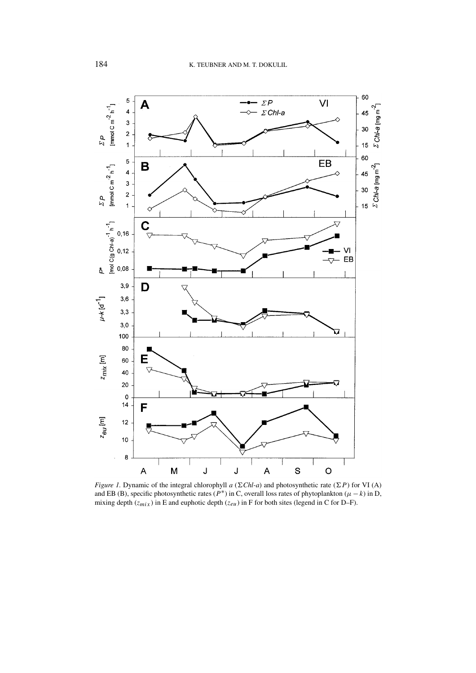

*Figure 1.* Dynamic of the integral chlorophyll *a* ( $\Sigma$ *Chl-a*) and photosynthetic rate ( $\Sigma$ *P*) for VI (A) and EB (B), specific photosynthetic rates ( $P^*$ ) in C, overall loss rates of phytoplankton ( $\mu - k$ ) in D, mixing depth (*zmix* ) in E and euphotic depth (*zeu*) in F for both sites (legend in C for D–F).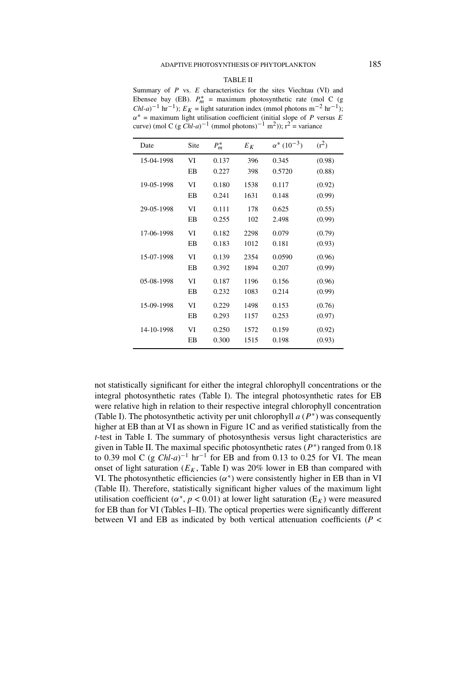#### TABLE II

Summary of *P* vs. *E* characteristics for the sites Viechtau (VI) and Ebensee bay (EB).  $P_m^* =$  maximum photosynthetic rate (mol C (g  $Chl-a$ <sup>-1</sup> hr<sup>-1</sup>);  $E_K$  = light saturation index (mmol photons m<sup>-2</sup> hr<sup>-1</sup>); *α*∗ = maximum light utilisation coefficient (initial slope of *P* versus *E* curve) (mol C (g *Chl-a*)<sup>-1</sup> (mmol photons)<sup>-1</sup> m<sup>2</sup>));  $r^2$  = variance

|                |                                  | $\alpha^*$ (10 <sup>-3</sup> )      | $(r^2)$                            |
|----------------|----------------------------------|-------------------------------------|------------------------------------|
| 0.137          | 396                              | 0.345                               | (0.98)                             |
| 0.180          | 1538                             | 0.117                               | (0.88)<br>(0.92)                   |
| 0.241          | 1631                             | 0.148                               | (0.99)                             |
| 0.111<br>0.255 | 178<br>102                       | 0.625<br>2.498                      | (0.55)<br>(0.99)                   |
| 0.182          |                                  | 0.079                               | (0.79)                             |
| 0.183          | 1012                             | 0.181                               | (0.93)                             |
| 0.392          | 1894                             | 0.207                               | (0.96)<br>(0.99)                   |
| 0.187          | 1196                             | 0.156                               | (0.96)                             |
| 0.229          | 1498                             | 0.153                               | (0.99)<br>(0.76)                   |
| 0.293          | 1157                             | 0.253                               | (0.97)                             |
| 0.250          | 1572                             | 0.159                               | (0.92)<br>(0.93)                   |
|                | 0.227<br>0.139<br>0.232<br>0.300 | 398<br>2298<br>2354<br>1083<br>1515 | 0.5720<br>0.0590<br>0.214<br>0.198 |

not statistically significant for either the integral chlorophyll concentrations or the integral photosynthetic rates (Table I). The integral photosynthetic rates for EB were relative high in relation to their respective integral chlorophyll concentration (Table I). The photosynthetic activity per unit chlorophyll *a* (*P*∗) was consequently higher at EB than at VI as shown in Figure 1C and as verified statistically from the *t*-test in Table I. The summary of photosynthesis versus light characteristics are given in Table II. The maximal specific photosynthetic rates (*P*∗) ranged from 0.18 to 0.39 mol C (g *Chl-a*)<sup>-1</sup> hr<sup>-1</sup> for EB and from 0.13 to 0.25 for VI. The mean onset of light saturation  $(E_K,$  Table I) was 20% lower in EB than compared with VI. The photosynthetic efficiencies  $(\alpha^*)$  were consistently higher in EB than in VI (Table II). Therefore, statistically significant higher values of the maximum light utilisation coefficient ( $\alpha^*$ ,  $p < 0.01$ ) at lower light saturation ( $E_K$ ) were measured for EB than for VI (Tables I–II). The optical properties were significantly different between VI and EB as indicated by both vertical attenuation coefficients (*P* <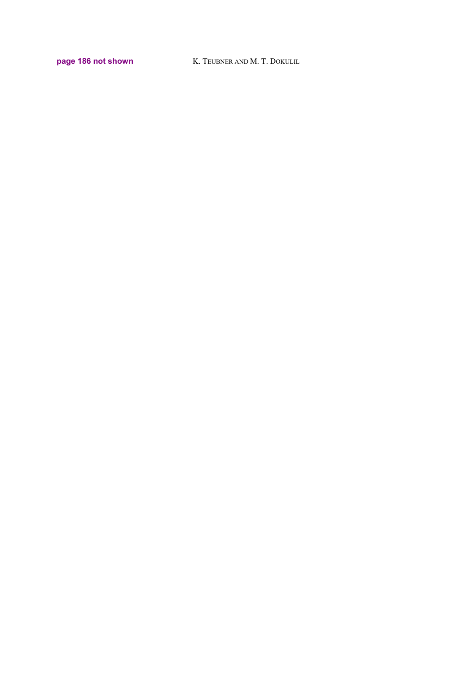**page 186 not shown** K. TEUBNER AND M. T. DOKULIL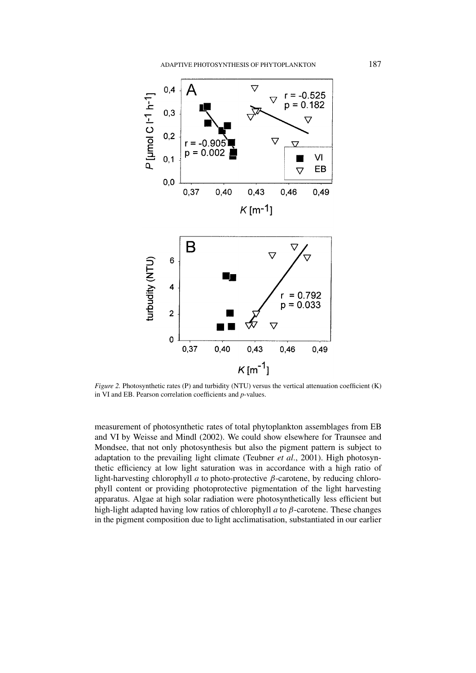

*Figure 2.* Photosynthetic rates (P) and turbidity (NTU) versus the vertical attenuation coefficient (K) in VI and EB. Pearson correlation coefficients and *p*-values.

measurement of photosynthetic rates of total phytoplankton assemblages from EB and VI by Weisse and Mindl (2002). We could show elsewhere for Traunsee and Mondsee, that not only photosynthesis but also the pigment pattern is subject to adaptation to the prevailing light climate (Teubner *et al*., 2001). High photosynthetic efficiency at low light saturation was in accordance with a high ratio of light-harvesting chlorophyll *a* to photo-protective *β*-carotene, by reducing chlorophyll content or providing photoprotective pigmentation of the light harvesting apparatus. Algae at high solar radiation were photosynthetically less efficient but high-light adapted having low ratios of chlorophyll *a* to *β*-carotene. These changes in the pigment composition due to light acclimatisation, substantiated in our earlier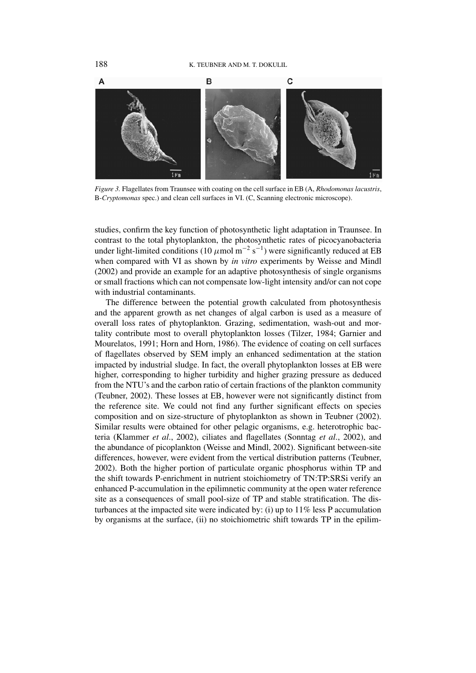

*Figure 3.* Flagellates from Traunsee with coating on the cell surface in EB (A, *Rhodomonas lacustris*, B-*Cryptomonas* spec.) and clean cell surfaces in VI. (C, Scanning electronic microscope).

studies, confirm the key function of photosynthetic light adaptation in Traunsee. In contrast to the total phytoplankton, the photosynthetic rates of picocyanobacteria under light-limited conditions (10  $\mu$ mol m<sup>-2</sup> s<sup>-1</sup>) were significantly reduced at EB when compared with VI as shown by *in vitro* experiments by Weisse and Mindl (2002) and provide an example for an adaptive photosynthesis of single organisms or small fractions which can not compensate low-light intensity and/or can not cope with industrial contaminants.

The difference between the potential growth calculated from photosynthesis and the apparent growth as net changes of algal carbon is used as a measure of overall loss rates of phytoplankton. Grazing, sedimentation, wash-out and mortality contribute most to overall phytoplankton losses (Tilzer, 1984; Garnier and Mourelatos, 1991; Horn and Horn, 1986). The evidence of coating on cell surfaces of flagellates observed by SEM imply an enhanced sedimentation at the station impacted by industrial sludge. In fact, the overall phytoplankton losses at EB were higher, corresponding to higher turbidity and higher grazing pressure as deduced from the NTU's and the carbon ratio of certain fractions of the plankton community (Teubner, 2002). These losses at EB, however were not significantly distinct from the reference site. We could not find any further significant effects on species composition and on size-structure of phytoplankton as shown in Teubner (2002). Similar results were obtained for other pelagic organisms, e.g. heterotrophic bacteria (Klammer *et al*., 2002), ciliates and flagellates (Sonntag *et al*., 2002), and the abundance of picoplankton (Weisse and Mindl, 2002). Significant between-site differences, however, were evident from the vertical distribution patterns (Teubner, 2002). Both the higher portion of particulate organic phosphorus within TP and the shift towards P-enrichment in nutrient stoichiometry of TN:TP:SRSi verify an enhanced P-accumulation in the epilimnetic community at the open water reference site as a consequences of small pool-size of TP and stable stratification. The disturbances at the impacted site were indicated by: (i) up to 11% less P accumulation by organisms at the surface, (ii) no stoichiometric shift towards TP in the epilim-